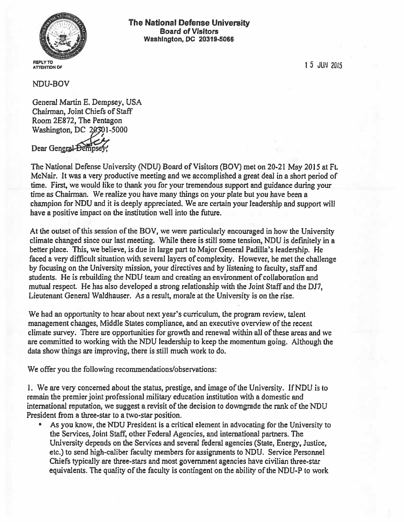

15 JUN 2Q15

NDU-BOV

General Martin E. Dempsey, USA Chairman, Joint Chiefs of Staff Room 2E872, The Pentagon Washington, DC 20301-5000 Dear General-Dempsey,

The National Defense University (NDU) Board of Visitors (BOV) met on 20-21 May 2015 at Ft. McNair. It was a very productive meeting and we accomplished a great deal in a short period of time. First, we would like to thank you for your tremendous support and guidance during your time as Chairman. We realize you have many things on your plate but you have been a champion for NDU and it is deeply appreciated. We are certain your leadership and support will have a positive impact on the institution well into the future.

At the outset of this session of the BOV, we were particularly encouraged in how the University climate changed since our last meeting. While there is still some tension, NDU is definitely in a better place. This, we believe, is due in large part to Major General Padilla's leadership. He faced a very difficult situation with several layers of complexity. However, he met the challenge by focusing on the University mission, your directives and by listening to faculty, staff and students. He is rebuilding the NDU team and creating an environment of collaboration and mutual respect He has also developed a strong relationship with the Joint Staff and the DJ7, Lieutenant Genera] Waidhauser. As a result, morale at the University is on the rise.

We had an opportunity to hear about next year's curriculum, the program review, talent management changes, Middle States compliance, and an executive overview ofthe recent climate survey. There are opportunities for growth and renewal within all of these areas and we are committed to working with the NDU leadership to keep the momentum going. Although the data show things are improving, there is still much work to do.

We offer you the following recommendations/observations:

1. We are very concerned about the status, prestige, and image of the University. If NDU is to remain the premier joint professional military education institution with a domestic and international reputation, we suggest a revisit of the decision to downgrade the rank of the NDU President from a three-star to a two-star position.

As you know, the NDU President is a critical element in advocating for the University to the Services, Joint Staff, other Federal Agencies, and international partners. The University depends on the Services and several federal agencies (State, Energy, Justice, etc.) to send high-caliber faculty members for assignments to NDU. Service Personnel Chiefs typically are three-stars and most government agencies have civilian three-star equivalents. The quality of the faculty is contingent on the ability of the NDU-P to work